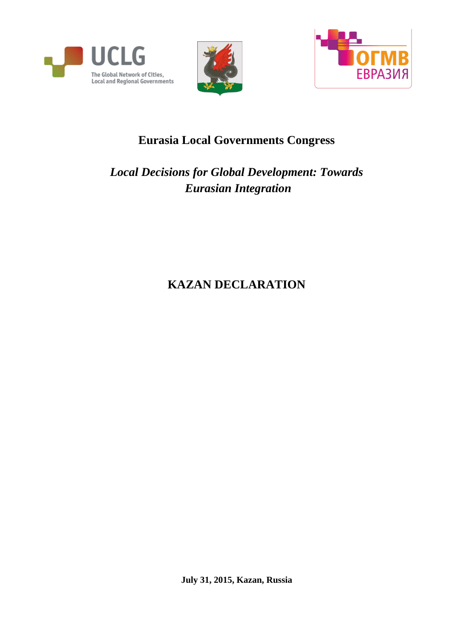





## **Eurasia Local Governments Congress**

## *Local Decisions for Global Development: Towards Eurasian Integration*

# **KAZAN DECLARATION**

**July 31, 2015, Kazan, Russia**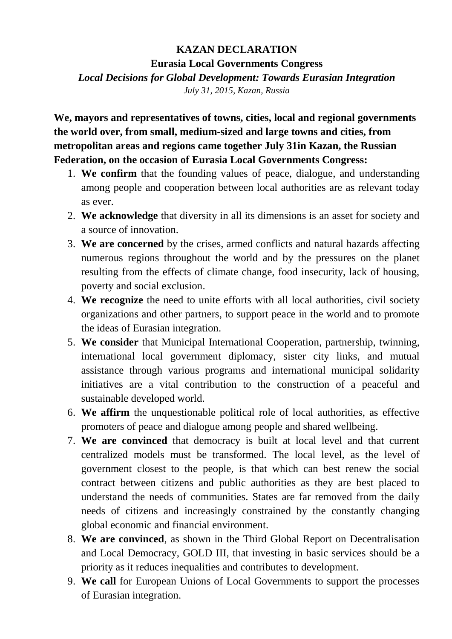### **KAZAN DECLARATION**

**Eurasia Local Governments Congress**

*Local Decisions for Global Development: Towards Eurasian Integration*

*July 31, 2015, Kazan, Russia*

**We, mayors and representatives of towns, cities, local and regional governments the world over, from small, medium-sized and large towns and cities, from metropolitan areas and regions came together July 31in Kazan, the Russian Federation, on the occasion of Eurasia Local Governments Congress:**

- 1. **We confirm** that the founding values of peace, dialogue, and understanding among people and cooperation between local authorities are as relevant today as ever.
- 2. **We acknowledge** that diversity in all its dimensions is an asset for society and a source of innovation.
- 3. **We are concerned** by the crises, armed conflicts and natural hazards affecting numerous regions throughout the world and by the pressures on the planet resulting from the effects of climate change, food insecurity, lack of housing, poverty and social exclusion.
- 4. **We recognize** the need to unite efforts with all local authorities, civil society organizations and other partners, to support peace in the world and to promote the ideas of Eurasian integration.
- 5. **We consider** that Municipal International Cooperation, partnership, twinning, international local government diplomacy, sister city links, and mutual assistance through various programs and international municipal solidarity initiatives are a vital contribution to the construction of a peaceful and sustainable developed world.
- 6. **We affirm** the unquestionable political role of local authorities, as effective promoters of peace and dialogue among people and shared wellbeing.
- 7. **We are convinced** that democracy is built at local level and that current centralized models must be transformed. The local level, as the level of government closest to the people, is that which can best renew the social contract between citizens and public authorities as they are best placed to understand the needs of communities. States are far removed from the daily needs of citizens and increasingly constrained by the constantly changing global economic and financial environment.
- 8. **We are convinced**, as shown in the Third Global Report on Decentralisation and Local Democracy, GOLD III, that investing in basic services should be a priority as it reduces inequalities and contributes to development.
- 9. **We call** for European Unions of Local Governments to support the processes of Eurasian integration.